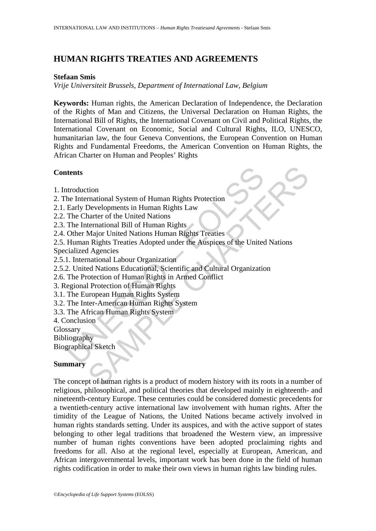# **HUMAN RIGHTS TREATIES AND AGREEMENTS**

#### **Stefaan Smis**

*Vrije Universiteit Brussels, Department of International Law, Belgium* 

**Keywords:** Human rights, the American Declaration of Independence, the Declaration of the Rights of Man and Citizens, the Universal Declaration on Human Rights, the International Bill of Rights, the International Covenant on Civil and Political Rights, the International Covenant on Economic, Social and Cultural Rights, ILO, UNESCO, humanitarian law, the four Geneva Conventions, the European Convention on Human Rights and Fundamental Freedoms, the American Convention on Human Rights, the African Charter on Human and Peoples' Rights

### **Contents**

- 1. Introduction
- 2. The International System of Human Rights Protection
- 2.1. Early Developments in Human Rights Law
- 2.2. The Charter of the United Nations
- 2.3. The International Bill of Human Rights
- 2.4. Other Major United Nations Human Rights Treaties
- **Example 18 Alternational System of Human Rights Protection**<br>
Early Developments in Human Rights Law<br>
Ency Developments in Human Rights Law<br>
The Charter of the United Nations<br>
The International Bill of Human Rights<br>
Other tion<br>
Interioral System of Human Rights Protection<br>
Developments in Human Rights<br>
Major United Nations<br>
Major United Nations<br>
Major United Nations<br>
Major United Nations<br>
Rights Treaties Adopted under the Auspices of the Un 2.5. Human Rights Treaties Adopted under the Auspices of the United Nations Specialized Agencies
- 2.5.1. International Labour Organization
- 2.5.2. United Nations Educational, Scientific and Cultural Organization
- 2.6. The Protection of Human Rights in Armed Conflict
- 3. Regional Protection of Human Rights
- 3.1. The European Human Rights System
- 3.2. The Inter-American Human Rights System
- 3.3. The African Human Rights System
- 4. Conclusion
- Glossary
- Bibliography

Biographical Sketch

#### **Summary**

The concept of human rights is a product of modern history with its roots in a number of religious, philosophical, and political theories that developed mainly in eighteenth- and nineteenth-century Europe. These centuries could be considered domestic precedents for a twentieth-century active international law involvement with human rights. After the timidity of the League of Nations, the United Nations became actively involved in human rights standards setting. Under its auspices, and with the active support of states belonging to other legal traditions that broadened the Western view, an impressive number of human rights conventions have been adopted proclaiming rights and freedoms for all. Also at the regional level, especially at European, American, and African intergovernmental levels, important work has been done in the field of human rights codification in order to make their own views in human rights law binding rules.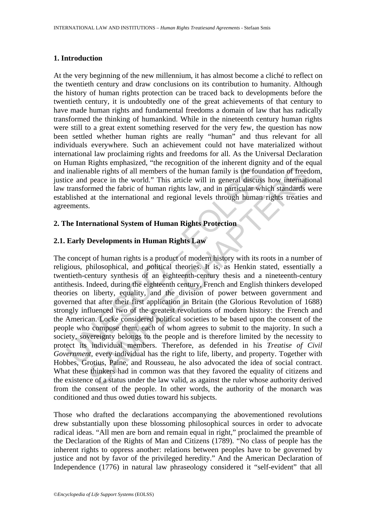### **1. Introduction**

At the very beginning of the new millennium, it has almost become a cliché to reflect on the twentieth century and draw conclusions on its contribution to humanity. Although the history of human rights protection can be traced back to developments before the twentieth century, it is undoubtedly one of the great achievements of that century to have made human rights and fundamental freedoms a domain of law that has radically transformed the thinking of humankind. While in the nineteenth century human rights were still to a great extent something reserved for the very few, the question has now been settled whether human rights are really "human" and thus relevant for all individuals everywhere. Such an achievement could not have materialized without international law proclaiming rights and freedoms for all. As the Universal Declaration on Human Rights emphasized, "the recognition of the inherent dignity and of the equal and inalienable rights of all members of the human family is the foundation of freedom, justice and peace in the world." This article will in general discuss how international law transformed the fabric of human rights law, and in particular which standards were established at the international and regional levels through human rights treaties and agreements.

## **2. The International System of Human Rights Protection**

## **2.1. Early Developments in Human Rights Law**

inalienable rights of all members of the human family is the found<br>ce and peace in the world." This article will in general discuss<br>transformed the fabric of human rights law, and in particular wh<br>blished at the internatio able rights of all members of the human family is the foundation of freed<br>peace in the world." This article will in general discuss how international<br>the rights of all members of the human family is the foundation of free The concept of human rights is a product of modern history with its roots in a number of religious, philosophical, and political theories. It is, as Henkin stated, essentially a twentieth-century synthesis of an eighteenth-century thesis and a nineteenth-century antithesis. Indeed, during the eighteenth century, French and English thinkers developed theories on liberty, equality, and the division of power between government and governed that after their first application in Britain (the Glorious Revolution of 1688) strongly influenced two of the greatest revolutions of modern history: the French and the American. Locke considered political societies to be based upon the consent of the people who compose them, each of whom agrees to submit to the majority. In such a society, sovereignty belongs to the people and is therefore limited by the necessity to protect its individual members. Therefore, as defended in his *Treatise of Civil Government*, every individual has the right to life, liberty, and property. Together with Hobbes, Grotius, Paine, and Rousseau, he also advocated the idea of social contract. What these thinkers had in common was that they favored the equality of citizens and the existence of a status under the law valid, as against the ruler whose authority derived from the consent of the people. In other words, the authority of the monarch was conditioned and thus owed duties toward his subjects.

Those who drafted the declarations accompanying the abovementioned revolutions drew substantially upon these blossoming philosophical sources in order to advocate radical ideas. "All men are born and remain equal in right," proclaimed the preamble of the Declaration of the Rights of Man and Citizens (1789). "No class of people has the inherent rights to oppress another: relations between peoples have to be governed by justice and not by favor of the privileged heredity." And the American Declaration of Independence (1776) in natural law phraseology considered it "self-evident" that all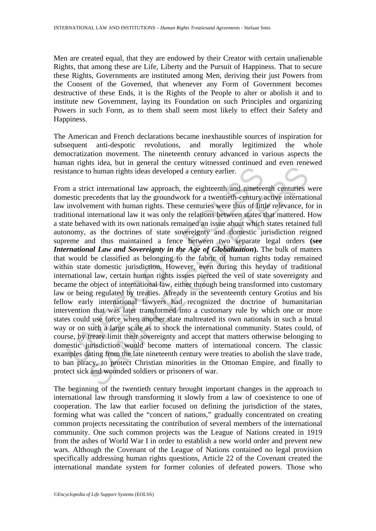Men are created equal, that they are endowed by their Creator with certain unalienable Rights, that among these are Life, Liberty and the Pursuit of Happiness. That to secure these Rights, Governments are instituted among Men, deriving their just Powers from the Consent of the Governed, that whenever any Form of Government becomes destructive of these Ends, it is the Rights of the People to alter or abolish it and to institute new Government, laying its Foundation on such Principles and organizing Powers in such Form, as to them shall seem most likely to effect their Safety and Happiness.

The American and French declarations became inexhaustible sources of inspiration for subsequent anti-despotic revolutions, and morally legitimized the whole democratization movement. The nineteenth century advanced in various aspects the human rights idea, but in general the century witnessed continued and even renewed resistance to human rights ideas developed a century earlier.

stance to human rights ideas developed a century earlier.<br>
m a strict international law approach, the eighteenth and nineteestic precedents that lay the groundwork for a twentieth-century involvement with human rights. The to human rights ideas developed a century earlier.<br>
ict international law approach, the eighteenth and nineteenth centuries<br>
ict international law the groundwork for a twentieth-century active internationent<br>
erecedents th From a strict international law approach, the eighteenth and nineteenth centuries were domestic precedents that lay the groundwork for a twentieth-century active international law involvement with human rights. These centuries were thus of little relevance, for in traditional international law it was only the relations between states that mattered. How a state behaved with its own nationals remained an issue about which states retained full autonomy, as the doctrines of state sovereignty and domestic jurisdiction reigned supreme and thus maintained a fence between two separate legal orders **(see**  *International Law and Sovereignty in the Age of Globalization***).** The bulk of matters that would be classified as belonging to the fabric of human rights today remained within state domestic jurisdiction. However, even during this heyday of traditional international law, certain human rights issues pierced the veil of state sovereignty and became the object of international law, either through being transformed into customary law or being regulated by treaties. Already in the seventeenth century Grotius and his fellow early international lawyers had recognized the doctrine of humanitarian intervention that was later transformed into a customary rule by which one or more states could use force when another state maltreated its own nationals in such a brutal way or on such a large scale as to shock the international community. States could, of course, by treaty limit their sovereignty and accept that matters otherwise belonging to domestic jurisdiction would become matters of international concern. The classic examples dating from the late nineteenth century were treaties to abolish the slave trade, to ban piracy, to protect Christian minorities in the Ottoman Empire, and finally to protect sick and wounded soldiers or prisoners of war.

The beginning of the twentieth century brought important changes in the approach to international law through transforming it slowly from a law of coexistence to one of cooperation. The law that earlier focused on defining the jurisdiction of the states, forming what was called the "concert of nations," gradually concentrated on creating common projects necessitating the contribution of several members of the international community. One such common projects was the League of Nations created in 1919 from the ashes of World War I in order to establish a new world order and prevent new wars. Although the Covenant of the League of Nations contained no legal provision specifically addressing human rights questions, Article 22 of the Covenant created the international mandate system for former colonies of defeated powers. Those who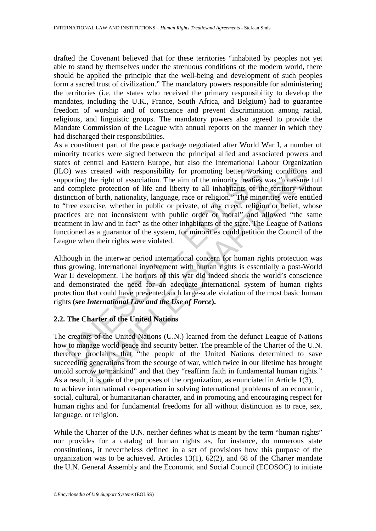drafted the Covenant believed that for these territories "inhabited by peoples not yet able to stand by themselves under the strenuous conditions of the modern world, there should be applied the principle that the well-being and development of such peoples form a sacred trust of civilization." The mandatory powers responsible for administering the territories (i.e. the states who received the primary responsibility to develop the mandates, including the U.K., France, South Africa, and Belgium) had to guarantee freedom of worship and of conscience and prevent discrimination among racial, religious, and linguistic groups. The mandatory powers also agreed to provide the Mandate Commission of the League with annual reports on the manner in which they had discharged their responsibilities.

D) was created with responsibility for promoting better working the right of association. The aim of the minority treaties complete protection of life and liberty to all inhabitants of the minority treaties complete prote created with responsibility for promoting better working conditions<br>the right of association. The aim of the minority treaties was "to assure<br>ete protection of life and liberty to all linhabitants of the territory with<br>of As a constituent part of the peace package negotiated after World War I, a number of minority treaties were signed between the principal allied and associated powers and states of central and Eastern Europe, but also the International Labour Organization (ILO) was created with responsibility for promoting better working conditions and supporting the right of association. The aim of the minority treaties was "to assure full and complete protection of life and liberty to all inhabitants of the territory without distinction of birth, nationality, language, race or religion." The minorities were entitled to "free exercise, whether in public or private, of any creed, religion or belief, whose practices are not inconsistent with public order or moral" and allowed "the same treatment in law and in fact" as the other inhabitants of the state. The League of Nations functioned as a guarantor of the system, for minorities could petition the Council of the League when their rights were violated.

Although in the interwar period international concern for human rights protection was thus growing, international involvement with human rights is essentially a post-World War II development. The horrors of this war did indeed shock the world's conscience and demonstrated the need for an adequate international system of human rights protection that could have prevented such large-scale violation of the most basic human rights **(see** *International Law and the Use of Force***).** 

### **2.2. The Charter of the United Nations**

The creators of the United Nations (U.N.) learned from the defunct League of Nations how to manage world peace and security better. The preamble of the Charter of the U.N. therefore proclaims that "the people of the United Nations determined to save succeeding generations from the scourge of war, which twice in our lifetime has brought untold sorrow to mankind" and that they "reaffirm faith in fundamental human rights." As a result, it is one of the purposes of the organization, as enunciated in Article 1(3), to achieve international co-operation in solving international problems of an economic, social, cultural, or humanitarian character, and in promoting and encouraging respect for human rights and for fundamental freedoms for all without distinction as to race, sex, language, or religion.

While the Charter of the U.N. neither defines what is meant by the term "human rights" nor provides for a catalog of human rights as, for instance, do numerous state constitutions, it nevertheless defined in a set of provisions how this purpose of the organization was to be achieved. Articles 13(1), 62(2), and 68 of the Charter mandate the U.N. General Assembly and the Economic and Social Council (ECOSOC) to initiate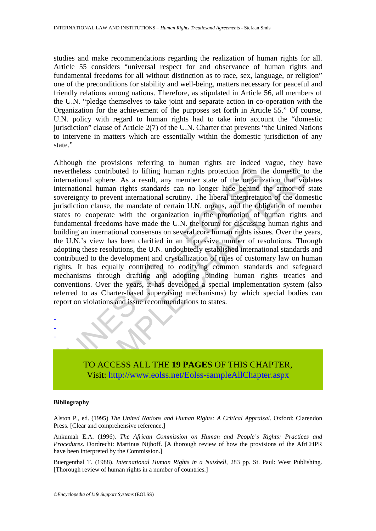studies and make recommendations regarding the realization of human rights for all. Article 55 considers "universal respect for and observance of human rights and fundamental freedoms for all without distinction as to race, sex, language, or religion" one of the preconditions for stability and well-being, matters necessary for peaceful and friendly relations among nations. Therefore, as stipulated in Article 56, all members of the U.N. "pledge themselves to take joint and separate action in co-operation with the Organization for the achievement of the purposes set forth in Article 55." Of course, U.N. policy with regard to human rights had to take into account the "domestic jurisdiction" clause of Article 2(7) of the U.N. Charter that prevents "the United Nations to intervene in matters which are essentially within the domestic jurisdiction of any state."

example the solution of much and the section of the section from the metal sphere. As a result, any member state of the organiz mational human rights standards can no longer hide behind the regantization chause, the mandat is contributed to if the original mann in the state of the original system and a phere. As a result, any member state of the organization that violated all human rights standards can no longer hide behind the armor of the Although the provisions referring to human rights are indeed vague, they have nevertheless contributed to lifting human rights protection from the domestic to the international sphere. As a result, any member state of the organization that violates international human rights standards can no longer hide behind the armor of state sovereignty to prevent international scrutiny. The liberal interpretation of the domestic jurisdiction clause, the mandate of certain U.N. organs, and the obligation of member states to cooperate with the organization in the promotion of human rights and fundamental freedoms have made the U.N. the forum for discussing human rights and building an international consensus on several core human rights issues. Over the years, the U.N.'s view has been clarified in an impressive number of resolutions. Through adopting these resolutions, the U.N. undoubtedly established international standards and contributed to the development and crystallization of rules of customary law on human rights. It has equally contributed to codifying common standards and safeguard mechanisms through drafting and adopting binding human rights treaties and conventions. Over the years, it has developed a special implementation system (also referred to as Charter-based supervising mechanisms) by which special bodies can report on violations and issue recommendations to states.



#### **Bibliography**

- - -

Alston P., ed. (1995) *The United Nations and Human Rights: A Critical Appraisal*. Oxford: Clarendon Press. [Clear and comprehensive reference.]

Ankumah E.A. (1996). *The African Commission on Human and People's Rights: Practices and Procedures*. Dordrecht: Martinus Nijhoff. [A thorough review of how the provisions of the AfrCHPR have been interpreted by the Commission.]

Buergenthal T. (1988). *International Human Rights in a Nutshell*, 283 pp. St. Paul: West Publishing. [Thorough review of human rights in a number of countries.]